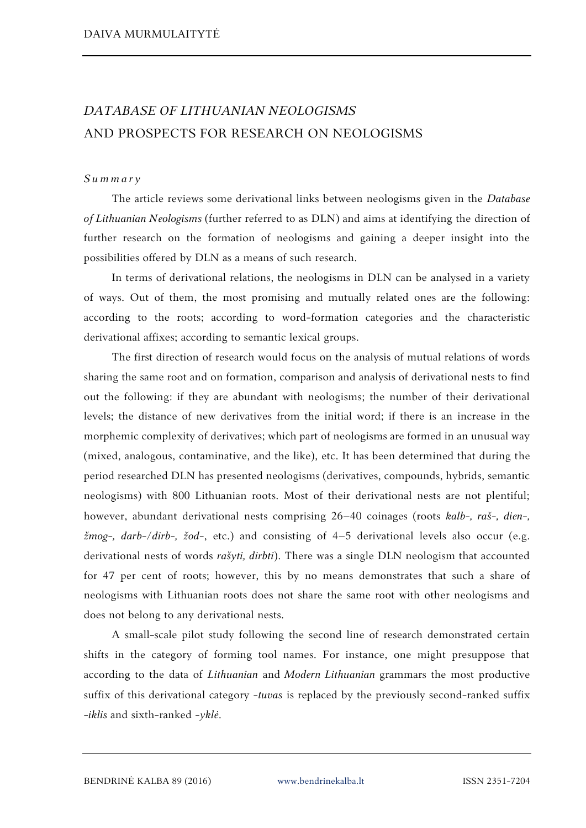## *DATABASE OF LITHUANIAN NEOLOGISMS* AND PROSPECTS FOR RESEARCH ON NEOLOGISMS

## *S u m m a r y*

The article reviews some derivational links between neologisms given in the *Database of Lithuanian Neologisms* (further referred to as DLN) and aims at identifying the direction of further research on the formation of neologisms and gaining a deeper insight into the possibilities offered by DLN as a means of such research.

In terms of derivational relations, the neologisms in DLN can be analysed in a variety of ways. Out of them, the most promising and mutually related ones are the following: according to the roots; according to word-formation categories and the characteristic derivational affixes; according to semantic lexical groups.

The first direction of research would focus on the analysis of mutual relations of words sharing the same root and on formation, comparison and analysis of derivational nests to find out the following: if they are abundant with neologisms; the number of their derivational levels; the distance of new derivatives from the initial word; if there is an increase in the morphemic complexity of derivatives; which part of neologisms are formed in an unusual way (mixed, analogous, contaminative, and the like), etc. It has been determined that during the period researched DLN has presented neologisms (derivatives, compounds, hybrids, semantic neologisms) with 800 Lithuanian roots. Most of their derivational nests are not plentiful; however, abundant derivational nests comprising 26–40 coinages (roots *kalb-, raš-, dien-, žmog-, darb-/dirb-, žod-*, etc.) and consisting of 4–5 derivational levels also occur (e.g. derivational nests of words *rašyti, dirbti*). There was a single DLN neologism that accounted for 47 per cent of roots; however, this by no means demonstrates that such a share of neologisms with Lithuanian roots does not share the same root with other neologisms and does not belong to any derivational nests.

A small-scale pilot study following the second line of research demonstrated certain shifts in the category of forming tool names. For instance, one might presuppose that according to the data of *Lithuanian* and *Modern Lithuanian* grammars the most productive suffix of this derivational category **-***tuvas* is replaced by the previously second-ranked suffix **-***iklis* and sixth-ranked **-***yklė*.